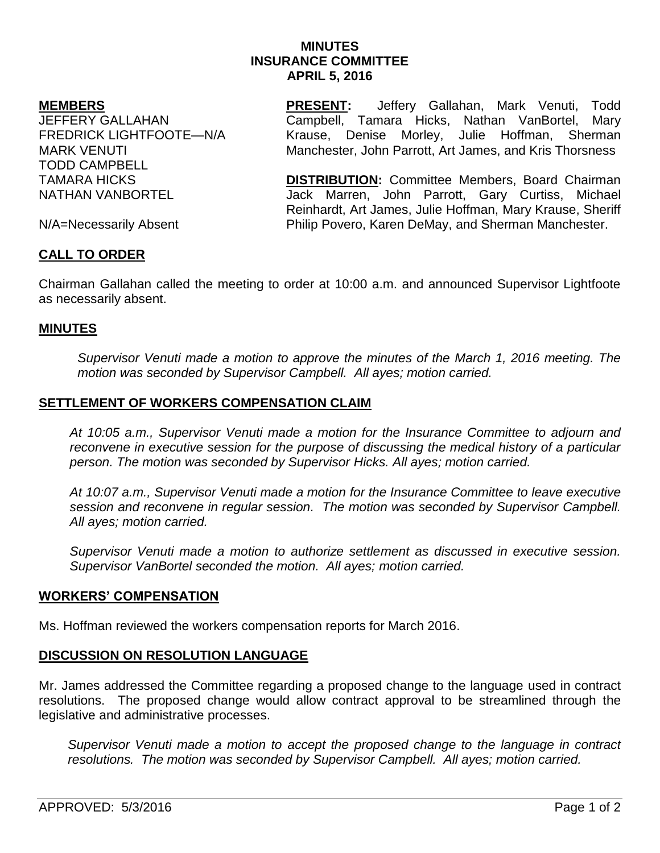## **MINUTES INSURANCE COMMITTEE APRIL 5, 2016**

#### **MEMBERS**

JEFFERY GALLAHAN FREDRICK LIGHTFOOTE—N/A MARK VENUTI TODD CAMPBELL TAMARA HICKS NATHAN VANBORTEL

**PRESENT:** Jeffery Gallahan, Mark Venuti, Todd Campbell, Tamara Hicks, Nathan VanBortel, Mary Krause, Denise Morley, Julie Hoffman, Sherman Manchester, John Parrott, Art James, and Kris Thorsness

**DISTRIBUTION:** Committee Members, Board Chairman Jack Marren, John Parrott, Gary Curtiss, Michael Reinhardt, Art James, Julie Hoffman, Mary Krause, Sheriff Philip Povero, Karen DeMay, and Sherman Manchester.

N/A=Necessarily Absent

# **CALL TO ORDER**

Chairman Gallahan called the meeting to order at 10:00 a.m. and announced Supervisor Lightfoote as necessarily absent.

## **MINUTES**

*Supervisor Venuti made a motion to approve the minutes of the March 1, 2016 meeting. The motion was seconded by Supervisor Campbell. All ayes; motion carried.* 

### **SETTLEMENT OF WORKERS COMPENSATION CLAIM**

*At 10:05 a.m., Supervisor Venuti made a motion for the Insurance Committee to adjourn and reconvene in executive session for the purpose of discussing the medical history of a particular person. The motion was seconded by Supervisor Hicks. All ayes; motion carried.*

*At 10:07 a.m., Supervisor Venuti made a motion for the Insurance Committee to leave executive session and reconvene in regular session. The motion was seconded by Supervisor Campbell. All ayes; motion carried.* 

*Supervisor Venuti made a motion to authorize settlement as discussed in executive session. Supervisor VanBortel seconded the motion. All ayes; motion carried.*

#### **WORKERS' COMPENSATION**

Ms. Hoffman reviewed the workers compensation reports for March 2016.

## **DISCUSSION ON RESOLUTION LANGUAGE**

Mr. James addressed the Committee regarding a proposed change to the language used in contract resolutions. The proposed change would allow contract approval to be streamlined through the legislative and administrative processes.

*Supervisor Venuti made a motion to accept the proposed change to the language in contract resolutions. The motion was seconded by Supervisor Campbell. All ayes; motion carried.*